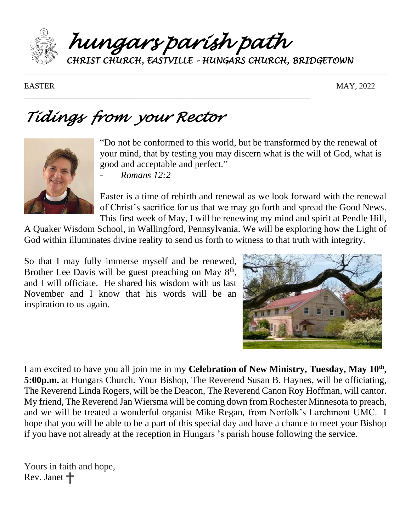

*hungars parish path* 

\_\_\_\_\_\_\_\_\_\_\_\_\_\_\_\_\_\_\_\_\_\_\_\_\_\_\_\_\_\_\_\_\_\_\_\_\_\_\_\_\_\_\_\_\_\_\_\_\_\_\_\_\_\_\_\_\_\_\_\_\_\_\_\_\_\_\_\_\_\_\_

*CHRIST CHURCH, EASTVILLE – HUNGARS CHURCH, BRIDGETOWN* 

EASTER MAY, 2022

# *Tidings from your Rector*



"Do not be conformed to this world, but be transformed by the renewal of your mind, that by testing you may discern what is the will of God, what is good and acceptable and perfect."

- *Romans 12:2*

Easter is a time of rebirth and renewal as we look forward with the renewal of Christ's sacrifice for us that we may go forth and spread the Good News. This first week of May, I will be renewing my mind and spirit at Pendle Hill,

A Quaker Wisdom School, in Wallingford, Pennsylvania. We will be exploring how the Light of God within illuminates divine reality to send us forth to witness to that truth with integrity.

So that I may fully immerse myself and be renewed, Brother Lee Davis will be guest preaching on May  $8<sup>th</sup>$ , and I will officiate. He shared his wisdom with us last November and I know that his words will be an inspiration to us again.



I am excited to have you all join me in my **Celebration of New Ministry, Tuesday, May 10th , 5:00p.m.** at Hungars Church. Your Bishop, The Reverend Susan B. Haynes, will be officiating, The Reverend Linda Rogers, will be the Deacon, The Reverend Canon Roy Hoffman, will cantor. My friend, The Reverend Jan Wiersma will be coming down from Rochester Minnesota to preach, and we will be treated a wonderful organist Mike Regan, from Norfolk's Larchmont UMC. I hope that you will be able to be a part of this special day and have a chance to meet your Bishop if you have not already at the reception in Hungars 's parish house following the service.

Yours in faith and hope, Rev. Janet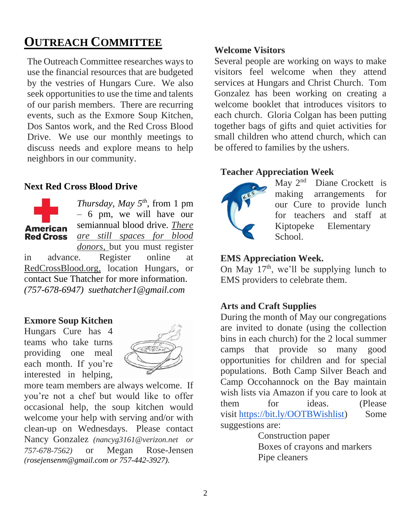# **OUTREACH COMMITTEE**

The Outreach Committee researches ways to use the financial resources that are budgeted by the vestries of Hungars Cure. We also seek opportunities to use the time and talents of our parish members. There are recurring events, such as the Exmore Soup Kitchen, Dos Santos work, and the Red Cross Blood Drive. We use our monthly meetings to discuss needs and explore means to help neighbors in our community.

### **Next Red Cross Blood Drive**



*Thursday, May 5th* , from 1 pm – 6 pm, we will have our semiannual blood drive. *There are still spaces for blood donors,* but you must register

in advance. Register online at RedCrossBlood.org, location Hungars, or contact Sue Thatcher for more information. *(757-678-6947) suethatcher1@gmail.com*

### **Exmore Soup Kitchen**

Hungars Cure has 4 teams who take turns providing one meal each month. If you're interested in helping,



more team members are always welcome. If you're not a chef but would like to offer occasional help, the soup kitchen would welcome your help with serving and/or with clean-up on Wednesdays. Please contact Nancy Gonzalez *(nancyg3161@verizon.net or 757-678-7562)* or Megan Rose-Jensen *(rosejensenm@gmail.com or 757-442-3927).*

### **Welcome Visitors**

Several people are working on ways to make visitors feel welcome when they attend services at Hungars and Christ Church. Tom Gonzalez has been working on creating a welcome booklet that introduces visitors to each church. Gloria Colgan has been putting together bags of gifts and quiet activities for small children who attend church, which can be offered to families by the ushers.

#### **Teacher Appreciation Week**



May 2<sup>nd</sup> Diane Crockett is making arrangements for our Cure to provide lunch for teachers and staff at Kiptopeke Elementary School.

#### **EMS Appreciation Week.**

On May  $17<sup>th</sup>$ , we'll be supplying lunch to EMS providers to celebrate them.

### **Arts and Craft Supplies**

During the month of May our congregations are invited to donate (using the collection bins in each church) for the 2 local summer camps that provide so many good opportunities for children and for special populations. Both Camp Silver Beach and Camp Occohannock on the Bay maintain wish lists via Amazon if you care to look at them for ideas. (Please visit [https://bit.ly/OOTBWishlist\)](https://bit.ly/OOTBWishlist) Some suggestions are:

> Construction paper Boxes of crayons and markers Pipe cleaners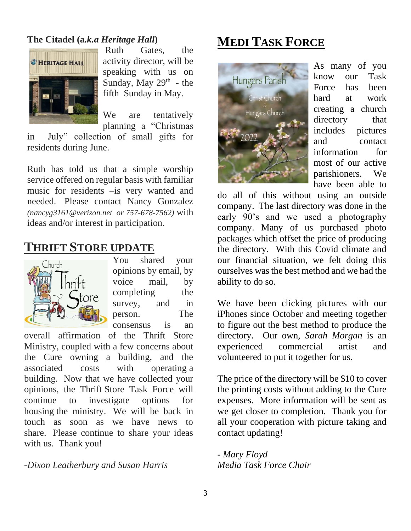### **The Citadel (a***.k.a Heritage Hall***)**



Ruth Gates, the activity director, will be speaking with us on Sunday, May  $29<sup>th</sup>$  - the fifth Sunday in May.

We are tentatively planning a "Christmas

in July" collection of small gifts for residents during June.

Ruth has told us that a simple worship service offered on regular basis with familiar music for residents –is very wanted and needed. Please contact Nancy Gonzalez *(nancyg3161@verizon.net or 757-678-7562)* with ideas and/or interest in participation.

# **THRIFT STORE UPDATE**



You shared your opinions by email, by voice mail, by completing the survey, and in person. The consensus is an

overall affirmation of the Thrift Store Ministry, coupled with a few concerns about the Cure owning a building, and the associated costs with operating a building. Now that we have collected your opinions, the Thrift Store Task Force will continue to investigate options for housing the ministry. We will be back in touch as soon as we have news to share. Please continue to share your ideas with us. Thank you!

*-Dixon Leatherbury and Susan Harris*

# **MEDI TASK FORCE**



As many of you know our Task Force has been hard at work creating a church directory that includes pictures and contact information for most of our active parishioners. We have been able to

do all of this without using an outside company. The last directory was done in the early 90's and we used a photography company. Many of us purchased photo packages which offset the price of producing the directory. With this Covid climate and our financial situation, we felt doing this ourselves was the best method and we had the ability to do so.

We have been clicking pictures with our iPhones since October and meeting together to figure out the best method to produce the directory. Our own, *Sarah Morgan* is an experienced commercial artist and volunteered to put it together for us.

The price of the directory will be \$10 to cover the printing costs without adding to the Cure expenses. More information will be sent as we get closer to completion. Thank you for all your cooperation with picture taking and contact updating!

*- Mary Floyd Media Task Force Chair*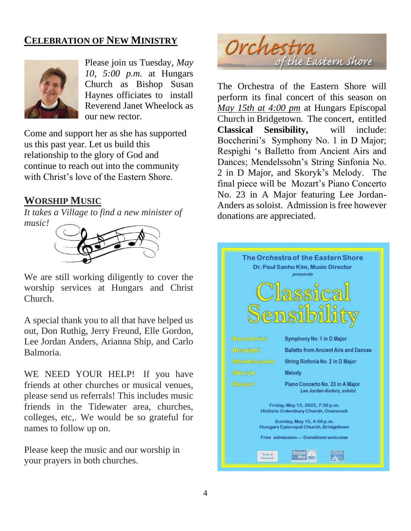### **CELEBRATION OF NEW MINISTRY**



Please join us Tuesday, *May 10, 5:00 p.m.* at Hungars Church as Bishop Susan Haynes officiates to install Reverend Janet Wheelock as our new rector.

Come and support her as she has supported us this past year. Let us build this relationship to the glory of God and continue to reach out into the community with Christ's love of the Eastern Shore.

# **WORSHIP MUSIC**

*It takes a Village to find a new minister of music!*



We are still working diligently to cover the worship services at Hungars and Christ Church.

A special thank you to all that have helped us out, Don Ruthig, Jerry Freund, Elle Gordon, Lee Jordan Anders, Arianna Ship, and Carlo Balmoria.

WE NEED YOUR HELP! If you have friends at other churches or musical venues, please send us referrals! This includes music friends in the Tidewater area, churches, colleges, etc,. We would be so grateful for names to follow up on.

Please keep the music and our worship in your prayers in both churches.



The Orchestra of the Eastern Shore will perform its final concert of this season on *May 15th at 4:00 pm* at Hungars Episcopal Church in Bridgetown. The concert, entitled **Classical Sensibility,** will include: Boccherini's Symphony No. 1 in D Major; Respighi 's Balletto from Ancient Airs and Dances; Mendelssohn's String Sinfonia No. 2 in D Major, and Skoryk's Melody. The final piece will be Mozart's Piano Concerto No. 23 in A Major featuring Lee Jordan-Anders as soloist. Admission is free however donations are appreciated.

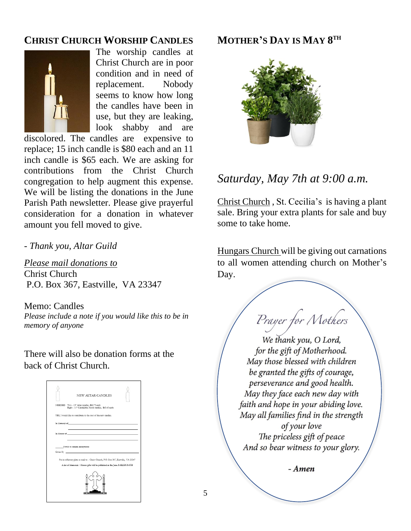# **CHRIST CHURCH WORSHIP CANDLES**



The worship candles at Christ Church are in poor condition and in need of replacement. Nobody seems to know how long the candles have been in use, but they are leaking, look shabby and are

discolored. The candles are expensive to replace; 15 inch candle is \$80 each and an 11 inch candle is \$65 each. We are asking for contributions from the Christ Church congregation to help augment this expense. We will be listing the donations in the June Parish Path newsletter. Please give prayerful consideration for a donation in whatever amount you fell moved to give.

*- Thank you, Altar Guild*

*Please mail donations to* Christ Church P.O. Box 367, Eastville, VA 23347

Memo: Candles *Please include a note if you would like this to be in memory of anyone*

There will also be donation forms at the back of Christ Church.

| NEW ALTAR CANDLES                                                                                                                                                                                                              |
|--------------------------------------------------------------------------------------------------------------------------------------------------------------------------------------------------------------------------------|
| NEEDED Two - 15" Altar candles, \$80.75 each                                                                                                                                                                                   |
| Eight - 11" Candelabra/torch candles, \$65.45 each                                                                                                                                                                             |
| YES, I would like to contribute to the cost of the new candles.                                                                                                                                                                |
|                                                                                                                                                                                                                                |
|                                                                                                                                                                                                                                |
| In Honor of the contract of the contract of the contract of the contract of the contract of the contract of the contract of the contract of the contract of the contract of the contract of the contract of the contract of th |
|                                                                                                                                                                                                                                |
|                                                                                                                                                                                                                                |
| I wish to remain anonymous                                                                                                                                                                                                     |
| Given By Production of the Commission of the Commission of the Commission of the Commission of the Commission                                                                                                                  |
|                                                                                                                                                                                                                                |
| Put in offertory plate or mail to: Christ Church, P.O. Box 367, Eastville, VA 23347                                                                                                                                            |
| A list of Memorial / Honor gifts will be published in the June PARISH PATH                                                                                                                                                     |
|                                                                                                                                                                                                                                |

# **MOTHER'S DAY IS MAY 8 TH**



# *Saturday, May 7th at 9:00 a.m.*

Christ Church , St. Cecilia's is having a plant sale. Bring your extra plants for sale and buy some to take home.

Hungars Church will be giving out carnations to all women attending church on Mother's Day.

Prayer for Mothers

We thank you, O Lord, for the gift of Motherhood. May those blessed with children be granted the gifts of courage, perseverance and good health. May they face each new day with faith and hope in your abiding love. May all families find in the strength of your love The priceless gift of peace And so bear witness to your glory.

- Amen

5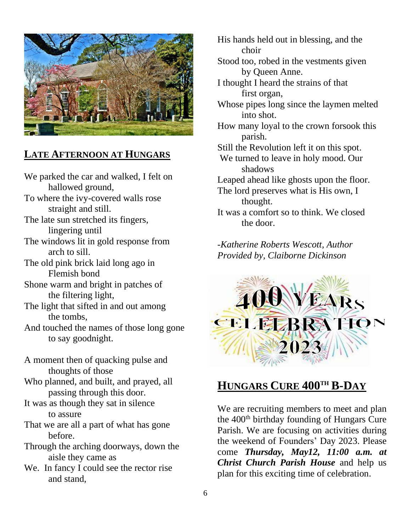

# **LATE AFTERNOON AT HUNGARS**

We parked the car and walked, I felt on hallowed ground, To where the ivy-covered walls rose straight and still. The late sun stretched its fingers, lingering until The windows lit in gold response from arch to sill.

The old pink brick laid long ago in Flemish bond

Shone warm and bright in patches of the filtering light,

The light that sifted in and out among the tombs,

And touched the names of those long gone to say goodnight.

A moment then of quacking pulse and thoughts of those

Who planned, and built, and prayed, all passing through this door.

It was as though they sat in silence to assure

That we are all a part of what has gone before.

Through the arching doorways, down the aisle they came as

We. In fancy I could see the rector rise and stand,

His hands held out in blessing, and the choir

Stood too, robed in the vestments given by Queen Anne.

I thought I heard the strains of that first organ,

Whose pipes long since the laymen melted into shot.

How many loyal to the crown forsook this parish.

Still the Revolution left it on this spot.

We turned to leave in holy mood. Our shadows

Leaped ahead like ghosts upon the floor.

The lord preserves what is His own, I thought.

It was a comfort so to think. We closed the door.

*-Katherine Roberts Wescott, Author Provided by, Claiborne Dickinson*



# **HUNGARS CURE 400TH B-DAY**

We are recruiting members to meet and plan the  $400<sup>th</sup>$  birthday founding of Hungars Cure Parish. We are focusing on activities during the weekend of Founders' Day 2023. Please come *Thursday, May12, 11:00 a.m. at Christ Church Parish House* and help us plan for this exciting time of celebration.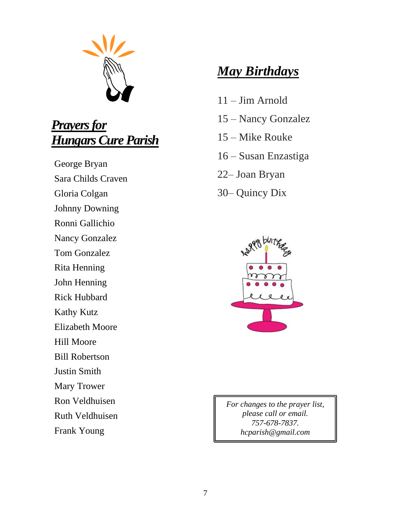

# *Prayers for Hungars Cure Parish*

George Bryan Sara Childs Craven Gloria Colgan Johnny Downing

Ronni Gallichio

Nancy Gonzalez

Tom Gonzalez

Rita Henning

John Henning

Rick Hubbard

Kathy Kutz

Elizabeth Moore

Hill Moore

Bill Robertson

Justin Smith

Mary Trower

Ron Veldhuisen

Ruth Veldhuisen

Frank Young

# *May Birthdays*

- 11 Jim Arnold
- 15 Nancy Gonzalez
- 15 Mike Rouke
- 16 Susan Enzastiga
- 22– Joan Bryan
- 30– Quincy Dix



*For changes to the prayer list, please call or email. 757-678-7837. hcparish@gmail.com*